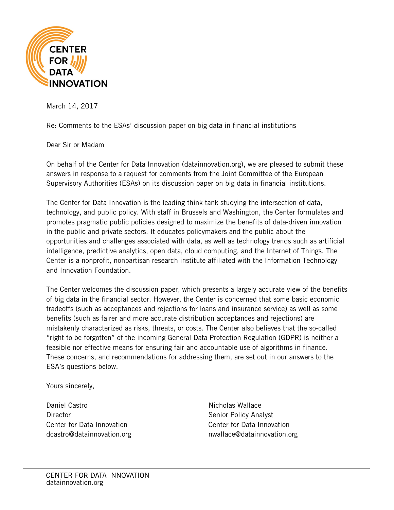

March 14, 2017

Re: Comments to the ESAs' discussion paper on big data in financial institutions

Dear Sir or Madam

On behalf of the Center for Data Innovation (datainnovation.org), we are pleased to submit these answers in response to a request for comments from the Joint Committee of the European Supervisory Authorities (ESAs) on its discussion paper on big data in financial institutions.

The Center for Data Innovation is the leading think tank studying the intersection of data, technology, and public policy. With staff in Brussels and Washington, the Center formulates and promotes pragmatic public policies designed to maximize the benefits of data-driven innovation in the public and private sectors. It educates policymakers and the public about the opportunities and challenges associated with data, as well as technology trends such as artificial intelligence, predictive analytics, open data, cloud computing, and the Internet of Things. The Center is a nonprofit, nonpartisan research institute affiliated with the Information Technology and Innovation Foundation.

The Center welcomes the discussion paper, which presents a largely accurate view of the benefits of big data in the financial sector. However, the Center is concerned that some basic economic tradeoffs (such as acceptances and rejections for loans and insurance service) as well as some benefits (such as fairer and more accurate distribution acceptances and rejections) are mistakenly characterized as risks, threats, or costs. The Center also believes that the so-called "right to be forgotten" of the incoming General Data Protection Regulation (GDPR) is neither a feasible nor effective means for ensuring fair and accountable use of algorithms in finance. These concerns, and recommendations for addressing them, are set out in our answers to the ESA's questions below.

Yours sincerely,

Daniel Castro **Director** Center for Data Innovation dcastro@datainnovation.org

Nicholas Wallace Senior Policy Analyst Center for Data Innovation [nwallace@datainnovation.org](mailto:jnew@datainnovation.org)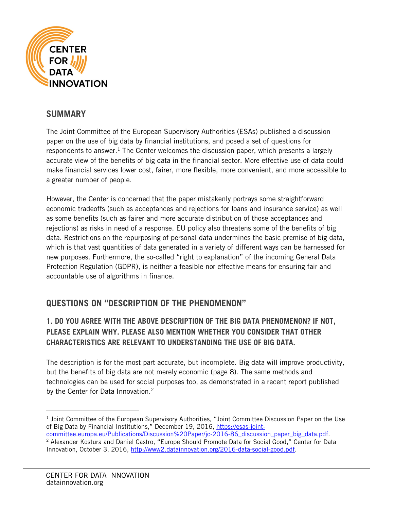

# **SUMMARY**

The Joint Committee of the European Supervisory Authorities (ESAs) published a discussion paper on the use of big data by financial institutions, and posed a set of questions for respondents to answer.<sup>[1](#page-1-0)</sup> The Center welcomes the discussion paper, which presents a largely accurate view of the benefits of big data in the financial sector. More effective use of data could make financial services lower cost, fairer, more flexible, more convenient, and more accessible to a greater number of people.

However, the Center is concerned that the paper mistakenly portrays some straightforward economic tradeoffs (such as acceptances and rejections for loans and insurance service) as well as some benefits (such as fairer and more accurate distribution of those acceptances and rejections) as risks in need of a response. EU policy also threatens some of the benefits of big data. Restrictions on the repurposing of personal data undermines the basic premise of big data, which is that vast quantities of data generated in a variety of different ways can be harnessed for new purposes. Furthermore, the so-called "right to explanation" of the incoming General Data Protection Regulation (GDPR), is neither a feasible nor effective means for ensuring fair and accountable use of algorithms in finance.

# **QUESTIONS ON "DESCRIPTION OF THE PHENOMENON"**

## **1. DO YOU AGREE WITH THE ABOVE DESCRIPTION OF THE BIG DATA PHENOMENON? IF NOT, PLEASE EXPLAIN WHY. PLEASE ALSO MENTION WHETHER YOU CONSIDER THAT OTHER CHARACTERISTICS ARE RELEVANT TO UNDERSTANDING THE USE OF BIG DATA.**

The description is for the most part accurate, but incomplete. Big data will improve productivity, but the benefits of big data are not merely economic (page 8). The same methods and technologies can be used for social purposes too, as demonstrated in a recent report published by the Center for Data Innovation.<sup>[2](#page-1-1)</sup>

 $<sup>1</sup>$  Joint Committee of the European Supervisory Authorities, "Joint Committee Discussion Paper on the Use</sup> of Big Data by Financial Institutions," December 19, 2016, [https://esas-joint-](https://esas-joint-committee.europa.eu/Publications/Discussion%20Paper/jc-2016-86_discussion_paper_big_data.pdf)

<span id="page-1-1"></span><span id="page-1-0"></span>[committee.europa.eu/Publications/Discussion%20Paper/jc-2016-86\\_discussion\\_paper\\_big\\_data.pdf.](https://esas-joint-committee.europa.eu/Publications/Discussion%20Paper/jc-2016-86_discussion_paper_big_data.pdf) <sup>2</sup> Alexander Kostura and Daniel Castro, "Europe Should Promote Data for Social Good," Center for Data Innovation, October 3, 2016, [http://www2.datainnovation.org/2016-data-social-good.pdf.](http://www2.datainnovation.org/2016-data-social-good.pdf)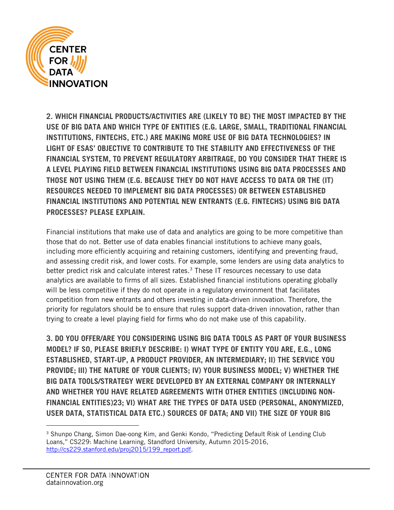

**2. WHICH FINANCIAL PRODUCTS/ACTIVITIES ARE (LIKELY TO BE) THE MOST IMPACTED BY THE USE OF BIG DATA AND WHICH TYPE OF ENTITIES (E.G. LARGE, SMALL, TRADITIONAL FINANCIAL INSTITUTIONS, FINTECHS, ETC.) ARE MAKING MORE USE OF BIG DATA TECHNOLOGIES? IN LIGHT OF ESAS' OBJECTIVE TO CONTRIBUTE TO THE STABILITY AND EFFECTIVENESS OF THE FINANCIAL SYSTEM, TO PREVENT REGULATORY ARBITRAGE, DO YOU CONSIDER THAT THERE IS A LEVEL PLAYING FIELD BETWEEN FINANCIAL INSTITUTIONS USING BIG DATA PROCESSES AND THOSE NOT USING THEM (E.G. BECAUSE THEY DO NOT HAVE ACCESS TO DATA OR THE (IT) RESOURCES NEEDED TO IMPLEMENT BIG DATA PROCESSES) OR BETWEEN ESTABLISHED FINANCIAL INSTITUTIONS AND POTENTIAL NEW ENTRANTS (E.G. FINTECHS) USING BIG DATA PROCESSES? PLEASE EXPLAIN.**

Financial institutions that make use of data and analytics are going to be more competitive than those that do not. Better use of data enables financial institutions to achieve many goals, including more efficiently acquiring and retaining customers, identifying and preventing fraud, and assessing credit risk, and lower costs. For example, some lenders are using data analytics to better predict risk and calculate interest rates.<sup>[3](#page-2-0)</sup> These IT resources necessary to use data analytics are available to firms of all sizes. Established financial institutions operating globally will be less competitive if they do not operate in a regulatory environment that facilitates competition from new entrants and others investing in data-driven innovation. Therefore, the priority for regulators should be to ensure that rules support data-driven innovation, rather than trying to create a level playing field for firms who do not make use of this capability.

**3. DO YOU OFFER/ARE YOU CONSIDERING USING BIG DATA TOOLS AS PART OF YOUR BUSINESS MODEL? IF SO, PLEASE BRIEFLY DESCRIBE: I) WHAT TYPE OF ENTITY YOU ARE, E.G., LONG ESTABLISHED, START-UP, A PRODUCT PROVIDER, AN INTERMEDIARY; II) THE SERVICE YOU PROVIDE; III) THE NATURE OF YOUR CLIENTS; IV) YOUR BUSINESS MODEL; V) WHETHER THE BIG DATA TOOLS/STRATEGY WERE DEVELOPED BY AN EXTERNAL COMPANY OR INTERNALLY AND WHETHER YOU HAVE RELATED AGREEMENTS WITH OTHER ENTITIES (INCLUDING NON-FINANCIAL ENTITIES)23; VI) WHAT ARE THE TYPES OF DATA USED (PERSONAL, ANONYMIZED, USER DATA, STATISTICAL DATA ETC.) SOURCES OF DATA; AND VII) THE SIZE OF YOUR BIG**

<span id="page-2-0"></span><sup>&</sup>lt;sup>3</sup> Shunpo Chang, Simon Dae-oong Kim, and Genki Kondo, "Predicting Default Risk of Lending Club Loans," CS229: Machine Learning, Standford University, Autumn 2015-2016, [http://cs229.stanford.edu/proj2015/199\\_report.pdf.](http://cs229.stanford.edu/proj2015/199_report.pdf)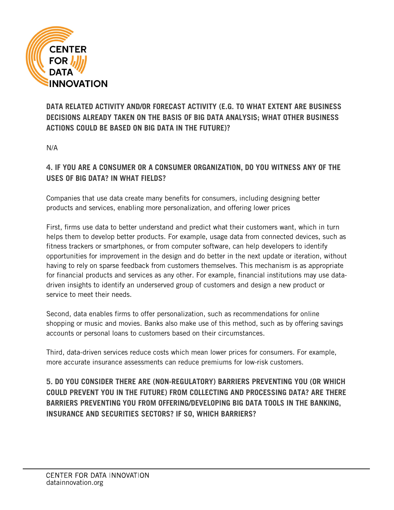

**DATA RELATED ACTIVITY AND/OR FORECAST ACTIVITY (E.G. TO WHAT EXTENT ARE BUSINESS DECISIONS ALREADY TAKEN ON THE BASIS OF BIG DATA ANALYSIS; WHAT OTHER BUSINESS ACTIONS COULD BE BASED ON BIG DATA IN THE FUTURE)?**

N/A

#### **4. IF YOU ARE A CONSUMER OR A CONSUMER ORGANIZATION, DO YOU WITNESS ANY OF THE USES OF BIG DATA? IN WHAT FIELDS?**

Companies that use data create many benefits for consumers, including designing better products and services, enabling more personalization, and offering lower prices

First, firms use data to better understand and predict what their customers want, which in turn helps them to develop better products. For example, usage data from connected devices, such as fitness trackers or smartphones, or from computer software, can help developers to identify opportunities for improvement in the design and do better in the next update or iteration, without having to rely on sparse feedback from customers themselves. This mechanism is as appropriate for financial products and services as any other. For example, financial institutions may use datadriven insights to identify an underserved group of customers and design a new product or service to meet their needs.

Second, data enables firms to offer personalization, such as recommendations for online shopping or music and movies. Banks also make use of this method, such as by offering savings accounts or personal loans to customers based on their circumstances.

Third, data-driven services reduce costs which mean lower prices for consumers. For example, more accurate insurance assessments can reduce premiums for low-risk customers.

<span id="page-3-1"></span><span id="page-3-0"></span>**5. DO YOU CONSIDER THERE ARE (NON-REGULATORY) BARRIERS PREVENTING YOU (OR WHICH COULD PREVENT YOU IN THE FUTURE) FROM COLLECTING AND PROCESSING DATA? ARE THERE BARRIERS PREVENTING YOU FROM OFFERING/DEVELOPING BIG DATA TOOLS IN THE BANKING, INSURANCE AND SECURITIES SECTORS? IF SO, WHICH BARRIERS?**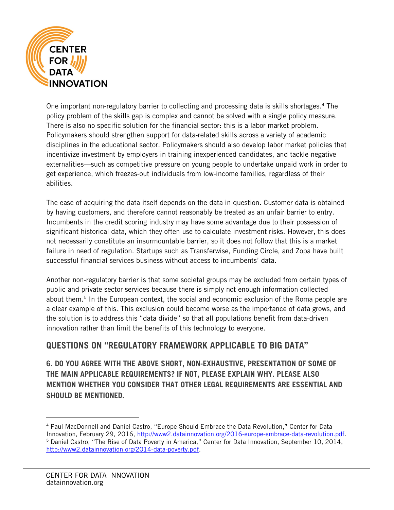

One important non-regulatory barrier to collecting and processing data is skills shortages.<sup>[4](#page-3-0)</sup> The policy problem of the skills gap is complex and cannot be solved with a single policy measure. There is also no specific solution for the financial sector: this is a labor market problem. Policymakers should strengthen support for data-related skills across a variety of academic disciplines in the educational sector. Policymakers should also develop labor market policies that incentivize investment by employers in training inexperienced candidates, and tackle negative externalities—such as competitive pressure on young people to undertake unpaid work in order to get experience, which freezes-out individuals from low-income families, regardless of their abilities.

The ease of acquiring the data itself depends on the data in question. Customer data is obtained by having customers, and therefore cannot reasonably be treated as an unfair barrier to entry. Incumbents in the credit scoring industry may have some advantage due to their possession of significant historical data, which they often use to calculate investment risks. However, this does not necessarily constitute an insurmountable barrier, so it does not follow that this is a market failure in need of regulation. Startups such as Transferwise, Funding Circle, and Zopa have built successful financial services business without access to incumbents' data.

Another non-regulatory barrier is that some societal groups may be excluded from certain types of public and private sector services because there is simply not enough information collected about them.<sup>[5](#page-3-1)</sup> In the European context, the social and economic exclusion of the Roma people are a clear example of this. This exclusion could become worse as the importance of data grows, and the solution is to address this "data divide" so that all populations benefit from data-driven innovation rather than limit the benefits of this technology to everyone.

# **QUESTIONS ON "REGULATORY FRAMEWORK APPLICABLE TO BIG DATA"**

**6. DO YOU AGREE WITH THE ABOVE SHORT, NON-EXHAUSTIVE, PRESENTATION OF SOME OF THE MAIN APPLICABLE REQUIREMENTS? IF NOT, PLEASE EXPLAIN WHY. PLEASE ALSO MENTION WHETHER YOU CONSIDER THAT OTHER LEGAL REQUIREMENTS ARE ESSENTIAL AND SHOULD BE MENTIONED.**

<span id="page-4-0"></span> <sup>4</sup> Paul MacDonnell and Daniel Castro, "Europe Should Embrace the Data Revolution," Center for Data Innovation, February 29, 2016, [http://www2.datainnovation.org/2016-europe-embrace-data-revolution.pdf.](http://www2.datainnovation.org/2016-europe-embrace-data-revolution.pdf) <sup>5</sup> Daniel Castro, "The Rise of Data Poverty in America," Center for Data Innovation, September 10, 2014, [http://www2.datainnovation.org/2014-data-poverty.pdf.](http://www2.datainnovation.org/2014-data-poverty.pdf)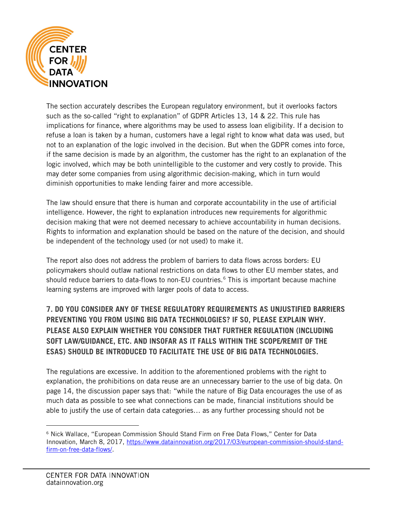

The section accurately describes the European regulatory environment, but it overlooks factors such as the so-called "right to explanation" of GDPR Articles 13, 14 & 22. This rule has implications for finance, where algorithms may be used to assess loan eligibility. If a decision to refuse a loan is taken by a human, customers have a legal right to know what data was used, but not to an explanation of the logic involved in the decision. But when the GDPR comes into force, if the same decision is made by an algorithm, the customer has the right to an explanation of the logic involved, which may be both unintelligible to the customer and very costly to provide. This may deter some companies from using algorithmic decision-making, which in turn would diminish opportunities to make lending fairer and more accessible.

The law should ensure that there is human and corporate accountability in the use of artificial intelligence. However, the right to explanation introduces new requirements for algorithmic decision making that were not deemed necessary to achieve accountability in human decisions. Rights to information and explanation should be based on the nature of the decision, and should be independent of the technology used (or not used) to make it.

The report also does not address the problem of barriers to data flows across borders: EU policymakers should outlaw national restrictions on data flows to other EU member states, and should reduce barriers to data-flows to non-EU countries.<sup>[6](#page-4-0)</sup> This is important because machine learning systems are improved with larger pools of data to access.

## **7. DO YOU CONSIDER ANY OF THESE REGULATORY REQUIREMENTS AS UNJUSTIFIED BARRIERS PREVENTING YOU FROM USING BIG DATA TECHNOLOGIES? IF SO, PLEASE EXPLAIN WHY. PLEASE ALSO EXPLAIN WHETHER YOU CONSIDER THAT FURTHER REGULATION (INCLUDING SOFT LAW/GUIDANCE, ETC. AND INSOFAR AS IT FALLS WITHIN THE SCOPE/REMIT OF THE ESAS) SHOULD BE INTRODUCED TO FACILITATE THE USE OF BIG DATA TECHNOLOGIES.**

The regulations are excessive. In addition to the aforementioned problems with the right to explanation, the prohibitions on data reuse are an unnecessary barrier to the use of big data. On page 14, the discussion paper says that: "while the nature of Big Data encourages the use of as much data as possible to see what connections can be made, financial institutions should be able to justify the use of certain data categories… as any further processing should not be

<span id="page-5-0"></span> <sup>6</sup> Nick Wallace, "European Commission Should Stand Firm on Free Data Flows," Center for Data Innovation, March 8, 2017, [https://www.datainnovation.org/2017/03/european-commission-should-stand](https://www.datainnovation.org/2017/03/european-commission-should-stand-firm-on-free-data-flows/)[firm-on-free-data-flows/.](https://www.datainnovation.org/2017/03/european-commission-should-stand-firm-on-free-data-flows/)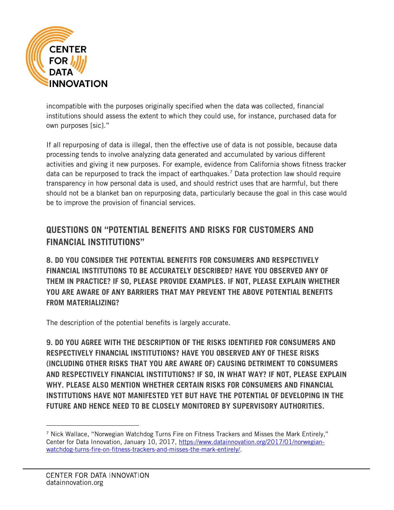

incompatible with the purposes originally specified when the data was collected, financial institutions should assess the extent to which they could use, for instance, purchased data for own purposes [sic]."

If all repurposing of data is illegal, then the effective use of data is not possible, because data processing tends to involve analyzing data generated and accumulated by various different activities and giving it new purposes. For example, evidence from California shows fitness tracker data can be repurposed to track the impact of earthquakes.<sup>[7](#page-5-0)</sup> Data protection law should require transparency in how personal data is used, and should restrict uses that are harmful, but there should not be a blanket ban on repurposing data, particularly because the goal in this case would be to improve the provision of financial services.

# **QUESTIONS ON "POTENTIAL BENEFITS AND RISKS FOR CUSTOMERS AND FINANCIAL INSTITUTIONS"**

**8. DO YOU CONSIDER THE POTENTIAL BENEFITS FOR CONSUMERS AND RESPECTIVELY FINANCIAL INSTITUTIONS TO BE ACCURATELY DESCRIBED? HAVE YOU OBSERVED ANY OF THEM IN PRACTICE? IF SO, PLEASE PROVIDE EXAMPLES. IF NOT, PLEASE EXPLAIN WHETHER YOU ARE AWARE OF ANY BARRIERS THAT MAY PREVENT THE ABOVE POTENTIAL BENEFITS FROM MATERIALIZING?**

The description of the potential benefits is largely accurate.

**9. DO YOU AGREE WITH THE DESCRIPTION OF THE RISKS IDENTIFIED FOR CONSUMERS AND RESPECTIVELY FINANCIAL INSTITUTIONS? HAVE YOU OBSERVED ANY OF THESE RISKS (INCLUDING OTHER RISKS THAT YOU ARE AWARE OF) CAUSING DETRIMENT TO CONSUMERS AND RESPECTIVELY FINANCIAL INSTITUTIONS? IF SO, IN WHAT WAY? IF NOT, PLEASE EXPLAIN WHY. PLEASE ALSO MENTION WHETHER CERTAIN RISKS FOR CONSUMERS AND FINANCIAL INSTITUTIONS HAVE NOT MANIFESTED YET BUT HAVE THE POTENTIAL OF DEVELOPING IN THE FUTURE AND HENCE NEED TO BE CLOSELY MONITORED BY SUPERVISORY AUTHORITIES.**

 $<sup>7</sup>$  Nick Wallace, "Norwegian Watchdog Turns Fire on Fitness Trackers and Misses the Mark Entirely,"</sup> Center for Data Innovation, January 10, 2017, [https://www.datainnovation.org/2017/01/norwegian](https://www.datainnovation.org/2017/01/norwegian-watchdog-turns-fire-on-fitness-trackers-and-misses-the-mark-entirely/)[watchdog-turns-fire-on-fitness-trackers-and-misses-the-mark-entirely/.](https://www.datainnovation.org/2017/01/norwegian-watchdog-turns-fire-on-fitness-trackers-and-misses-the-mark-entirely/)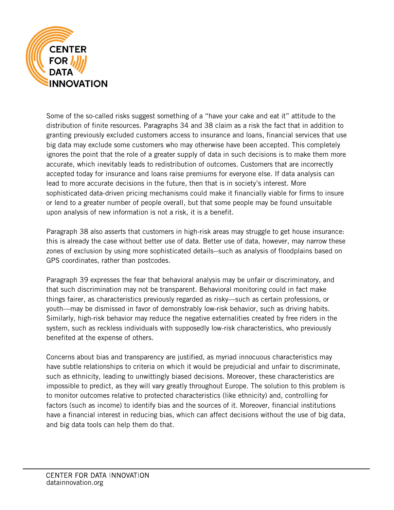

Some of the so-called risks suggest something of a "have your cake and eat it" attitude to the distribution of finite resources. Paragraphs 34 and 38 claim as a risk the fact that in addition to granting previously excluded customers access to insurance and loans, financial services that use big data may exclude some customers who may otherwise have been accepted. This completely ignores the point that the role of a greater supply of data in such decisions is to make them more accurate, which inevitably leads to redistribution of outcomes. Customers that are incorrectly accepted today for insurance and loans raise premiums for everyone else. If data analysis can lead to more accurate decisions in the future, then that is in society's interest. More sophisticated data-driven pricing mechanisms could make it financially viable for firms to insure or lend to a greater number of people overall, but that some people may be found unsuitable upon analysis of new information is not a risk, it is a benefit.

Paragraph 38 also asserts that customers in high-risk areas may struggle to get house insurance: this is already the case without better use of data. Better use of data, however, may narrow these zones of exclusion by using more sophisticated details--such as analysis of floodplains based on GPS coordinates, rather than postcodes.

Paragraph 39 expresses the fear that behavioral analysis may be unfair or discriminatory, and that such discrimination may not be transparent. Behavioral monitoring could in fact make things fairer, as characteristics previously regarded as risky—such as certain professions, or youth—may be dismissed in favor of demonstrably low-risk behavior, such as driving habits. Similarly, high-risk behavior may reduce the negative externalities created by free riders in the system, such as reckless individuals with supposedly low-risk characteristics, who previously benefited at the expense of others.

<span id="page-7-0"></span>Concerns about bias and transparency are justified, as myriad innocuous characteristics may have subtle relationships to criteria on which it would be prejudicial and unfair to discriminate, such as ethnicity, leading to unwittingly biased decisions. Moreover, these characteristics are impossible to predict, as they will vary greatly throughout Europe. The solution to this problem is to monitor outcomes relative to protected characteristics (like ethnicity) and, controlling for factors (such as income) to identify bias and the sources of it. Moreover, financial institutions have a financial interest in reducing bias, which can affect decisions without the use of big data, and big data tools can help them do that.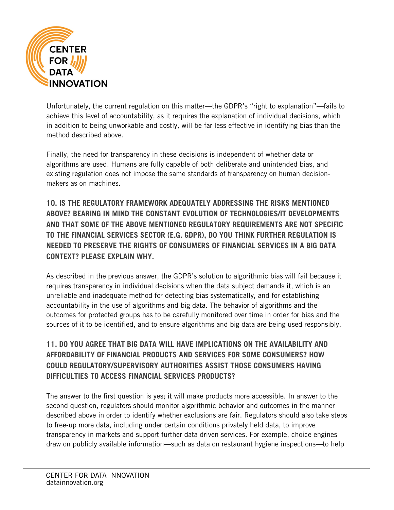

Unfortunately, the current regulation on this matter—the GDPR's "right to explanation"—fails to achieve this level of accountability, as it requires the explanation of individual decisions, which in addition to being unworkable and costly, will be far less effective in identifying bias than the method described above.

Finally, the need for transparency in these decisions is independent of whether data or algorithms are used. Humans are fully capable of both deliberate and unintended bias, and existing regulation does not impose the same standards of transparency on human decisionmakers as on machines.

**10. IS THE REGULATORY FRAMEWORK ADEQUATELY ADDRESSING THE RISKS MENTIONED ABOVE? BEARING IN MIND THE CONSTANT EVOLUTION OF TECHNOLOGIES/IT DEVELOPMENTS AND THAT SOME OF THE ABOVE MENTIONED REGULATORY REQUIREMENTS ARE NOT SPECIFIC TO THE FINANCIAL SERVICES SECTOR (E.G. GDPR), DO YOU THINK FURTHER REGULATION IS NEEDED TO PRESERVE THE RIGHTS OF CONSUMERS OF FINANCIAL SERVICES IN A BIG DATA CONTEXT? PLEASE EXPLAIN WHY.**

As described in the previous answer, the GDPR's solution to algorithmic bias will fail because it requires transparency in individual decisions when the data subject demands it, which is an unreliable and inadequate method for detecting bias systematically, and for establishing accountability in the use of algorithms and big data. The behavior of algorithms and the outcomes for protected groups has to be carefully monitored over time in order for bias and the sources of it to be identified, and to ensure algorithms and big data are being used responsibly.

# **11. DO YOU AGREE THAT BIG DATA WILL HAVE IMPLICATIONS ON THE AVAILABILITY AND AFFORDABILITY OF FINANCIAL PRODUCTS AND SERVICES FOR SOME CONSUMERS? HOW COULD REGULATORY/SUPERVISORY AUTHORITIES ASSIST THOSE CONSUMERS HAVING DIFFICULTIES TO ACCESS FINANCIAL SERVICES PRODUCTS?**

The answer to the first question is yes; it will make products more accessible. In answer to the second question, regulators should monitor algorithmic behavior and outcomes in the manner described above in order to identify whether exclusions are fair. Regulators should also take steps to free-up more data, including under certain conditions privately held data, to improve transparency in markets and support further data driven services. For example, choice engines draw on publicly available information—such as data on restaurant hygiene inspections—to help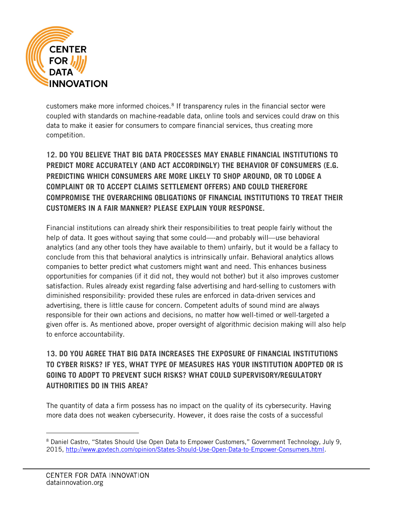

customers make more informed choices.<sup>[8](#page-7-0)</sup> If transparency rules in the financial sector were coupled with standards on machine-readable data, online tools and services could draw on this data to make it easier for consumers to compare financial services, thus creating more competition.

**12. DO YOU BELIEVE THAT BIG DATA PROCESSES MAY ENABLE FINANCIAL INSTITUTIONS TO PREDICT MORE ACCURATELY (AND ACT ACCORDINGLY) THE BEHAVIOR OF CONSUMERS (E.G. PREDICTING WHICH CONSUMERS ARE MORE LIKELY TO SHOP AROUND, OR TO LODGE A COMPLAINT OR TO ACCEPT CLAIMS SETTLEMENT OFFERS) AND COULD THEREFORE COMPROMISE THE OVERARCHING OBLIGATIONS OF FINANCIAL INSTITUTIONS TO TREAT THEIR CUSTOMERS IN A FAIR MANNER? PLEASE EXPLAIN YOUR RESPONSE.**

Financial institutions can already shirk their responsibilities to treat people fairly without the help of data. It goes without saying that some could—-and probably will—use behavioral analytics (and any other tools they have available to them) unfairly, but it would be a fallacy to conclude from this that behavioral analytics is intrinsically unfair. Behavioral analytics allows companies to better predict what customers might want and need. This enhances business opportunities for companies (if it did not, they would not bother) but it also improves customer satisfaction. Rules already exist regarding false advertising and hard-selling to customers with diminished responsibility: provided these rules are enforced in data-driven services and advertising, there is little cause for concern. Competent adults of sound mind are always responsible for their own actions and decisions, no matter how well-timed or well-targeted a given offer is. As mentioned above, proper oversight of algorithmic decision making will also help to enforce accountability.

# **13. DO YOU AGREE THAT BIG DATA INCREASES THE EXPOSURE OF FINANCIAL INSTITUTIONS TO CYBER RISKS? IF YES, WHAT TYPE OF MEASURES HAS YOUR INSTITUTION ADOPTED OR IS GOING TO ADOPT TO PREVENT SUCH RISKS? WHAT COULD SUPERVISORY/REGULATORY AUTHORITIES DO IN THIS AREA?**

The quantity of data a firm possess has no impact on the quality of its cybersecurity. Having more data does not weaken cybersecurity. However, it does raise the costs of a successful

 <sup>8</sup> Daniel Castro, "States Should Use Open Data to Empower Customers," Government Technology, July 9, 2015, [http://www.govtech.com/opinion/States-Should-Use-Open-Data-to-Empower-Consumers.html.](http://www.govtech.com/opinion/States-Should-Use-Open-Data-to-Empower-Consumers.html)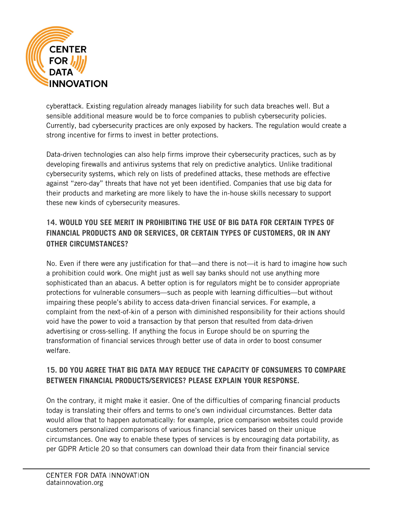

cyberattack. Existing regulation already manages liability for such data breaches well. But a sensible additional measure would be to force companies to publish cybersecurity policies. Currently, bad cybersecurity practices are only exposed by hackers. The regulation would create a strong incentive for firms to invest in better protections.

Data-driven technologies can also help firms improve their cybersecurity practices, such as by developing firewalls and antivirus systems that rely on predictive analytics. Unlike traditional cybersecurity systems, which rely on lists of predefined attacks, these methods are effective against "zero-day" threats that have not yet been identified. Companies that use big data for their products and marketing are more likely to have the in-house skills necessary to support these new kinds of cybersecurity measures.

## **14. WOULD YOU SEE MERIT IN PROHIBITING THE USE OF BIG DATA FOR CERTAIN TYPES OF FINANCIAL PRODUCTS AND OR SERVICES, OR CERTAIN TYPES OF CUSTOMERS, OR IN ANY OTHER CIRCUMSTANCES?**

No. Even if there were any justification for that—and there is not—it is hard to imagine how such a prohibition could work. One might just as well say banks should not use anything more sophisticated than an abacus. A better option is for regulators might be to consider appropriate protections for vulnerable consumers—such as people with learning difficulties—but without impairing these people's ability to access data-driven financial services. For example, a complaint from the next-of-kin of a person with diminished responsibility for their actions should void have the power to void a transaction by that person that resulted from data-driven advertising or cross-selling. If anything the focus in Europe should be on spurring the transformation of financial services through better use of data in order to boost consumer welfare.

#### **15. DO YOU AGREE THAT BIG DATA MAY REDUCE THE CAPACITY OF CONSUMERS TO COMPARE BETWEEN FINANCIAL PRODUCTS/SERVICES? PLEASE EXPLAIN YOUR RESPONSE.**

<span id="page-10-0"></span>On the contrary, it might make it easier. One of the difficulties of comparing financial products today is translating their offers and terms to one's own individual circumstances. Better data would allow that to happen automatically: for example, price comparison websites could provide customers personalized comparisons of various financial services based on their unique circumstances. One way to enable these types of services is by encouraging data portability, as per GDPR Article 20 so that consumers can download their data from their financial service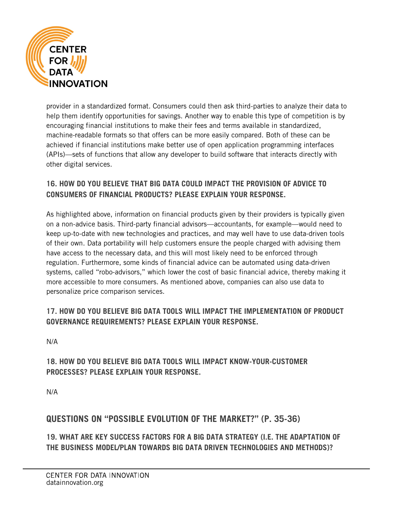

provider in a standardized format. Consumers could then ask third-parties to analyze their data to help them identify opportunities for savings. Another way to enable this type of competition is by encouraging financial institutions to make their fees and terms available in standardized, machine-readable formats so that offers can be more easily compared. Both of these can be achieved if financial institutions make better use of open application programming interfaces (APIs)—sets of functions that allow any developer to build software that interacts directly with other digital services.

#### **16. HOW DO YOU BELIEVE THAT BIG DATA COULD IMPACT THE PROVISION OF ADVICE TO CONSUMERS OF FINANCIAL PRODUCTS? PLEASE EXPLAIN YOUR RESPONSE.**

As highlighted above, information on financial products given by their providers is typically given on a non-advice basis. Third-party financial advisors—accountants, for example—would need to keep up-to-date with new technologies and practices, and may well have to use data-driven tools of their own. Data portability will help customers ensure the people charged with advising them have access to the necessary data, and this will most likely need to be enforced through regulation. Furthermore, some kinds of financial advice can be automated using data-driven systems, called "robo-advisors," which lower the cost of basic financial advice, thereby making it more accessible to more consumers. As mentioned above, companies can also use data to personalize price comparison services.

#### **17. HOW DO YOU BELIEVE BIG DATA TOOLS WILL IMPACT THE IMPLEMENTATION OF PRODUCT GOVERNANCE REQUIREMENTS? PLEASE EXPLAIN YOUR RESPONSE.**

N/A

## **18. HOW DO YOU BELIEVE BIG DATA TOOLS WILL IMPACT KNOW-YOUR-CUSTOMER PROCESSES? PLEASE EXPLAIN YOUR RESPONSE.**

N/A

# **QUESTIONS ON "POSSIBLE EVOLUTION OF THE MARKET?" (P. 35-36)**

**19. WHAT ARE KEY SUCCESS FACTORS FOR A BIG DATA STRATEGY (I.E. THE ADAPTATION OF THE BUSINESS MODEL/PLAN TOWARDS BIG DATA DRIVEN TECHNOLOGIES AND METHODS)?**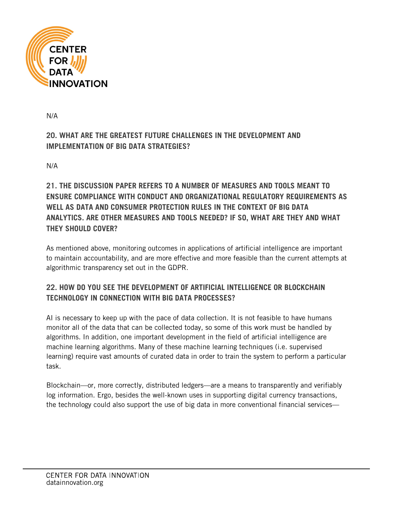

N/A

# **20. WHAT ARE THE GREATEST FUTURE CHALLENGES IN THE DEVELOPMENT AND IMPLEMENTATION OF BIG DATA STRATEGIES?**

N/A

# **21. THE DISCUSSION PAPER REFERS TO A NUMBER OF MEASURES AND TOOLS MEANT TO ENSURE COMPLIANCE WITH CONDUCT AND ORGANIZATIONAL REGULATORY REQUIREMENTS AS WELL AS DATA AND CONSUMER PROTECTION RULES IN THE CONTEXT OF BIG DATA ANALYTICS. ARE OTHER MEASURES AND TOOLS NEEDED? IF SO, WHAT ARE THEY AND WHAT THEY SHOULD COVER?**

As mentioned above, monitoring outcomes in applications of artificial intelligence are important to maintain accountability, and are more effective and more feasible than the current attempts at algorithmic transparency set out in the GDPR.

## **22. HOW DO YOU SEE THE DEVELOPMENT OF ARTIFICIAL INTELLIGENCE OR BLOCKCHAIN TECHNOLOGY IN CONNECTION WITH BIG DATA PROCESSES?**

AI is necessary to keep up with the pace of data collection. It is not feasible to have humans monitor all of the data that can be collected today, so some of this work must be handled by algorithms. In addition, one important development in the field of artificial intelligence are machine learning algorithms. Many of these machine learning techniques (i.e. supervised learning) require vast amounts of curated data in order to train the system to perform a particular task.

Blockchain—or, more correctly, distributed ledgers—are a means to transparently and verifiably log information. Ergo, besides the well-known uses in supporting digital currency transactions, the technology could also support the use of big data in more conventional financial services—